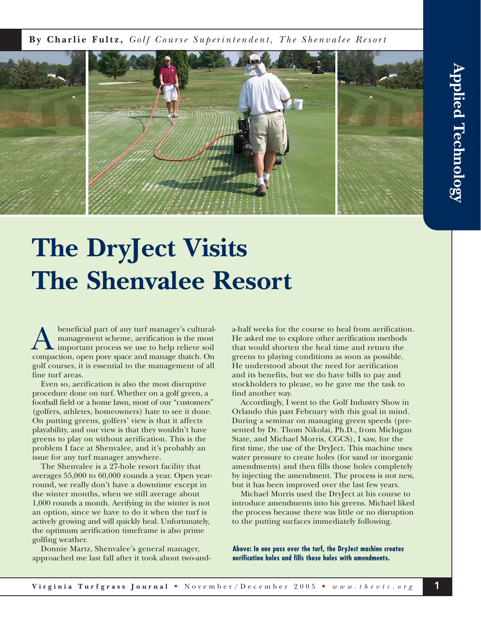**By Charlie Fultz,** *Golf Course Superintendent, The Shenvalee Resort*



## **The DryJect Visits The Shenvalee Resort**

beneficial part of any turf manager's culturalmanagement scheme, aerification is the most important process we use to help relieve soil beneficial part of any turf manager's cultural<br>
management scheme, aerification is the most<br>
compaction, open pore space and manage thatch. On golf courses, it is essential to the management of all fine turf areas.

Even so, aerification is also the most disruptive procedure done on turf. Whether on a golf green, a football field or a home lawn, most of our "customers" (golfers, athletes, homeowners) hate to see it done. On putting greens, golfers' view is that it affects playability, and our view is that they wouldn't have greens to play on without aerification. This is the problem I face at Shenvalee, and it's probably an issue for any turf manager anywhere.

The Shenvalee is a 27-hole resort facility that averages 55,000 to 60,000 rounds a year. Open yearround, we really don't have a downtime except in the winter months, when we still average about 1,000 rounds a month. Aerifying in the winter is not an option, since we have to do it when the turf is actively growing and will quickly heal. Unfortunately, the optimum aerification timeframe is also prime golfing weather.

Donnie Martz, Shenvalee's general manager, approached me last fall after it took about two-anda-half weeks for the course to heal from aerification. He asked me to explore other aerification methods that would shorten the heal time and return the greens to playing conditions as soon as possible. He understood about the need for aerification and its benefits, but we do have bills to pay and stockholders to please, so he gave me the task to find another way.

Accordingly, I went to the Golf Industry Show in Orlando this past February with this goal in mind. During a seminar on managing green speeds (presented by Dr. Thom Nikolai, Ph.D., from Michigan State, and Michael Morris, CGCS), I saw, for the first time, the use of the DryJect. This machine uses water pressure to create holes (for sand or inorganic amendments) and then fills those holes completely by injecting the amendment. The process is not new, but it has been improved over the last few years.

Michael Morris used the DryJect at his course to introduce amendments into his greens. Michael liked the process because there was little or no disruption to the putting surfaces immediately following.

**Above: In one pass over the turf, the DryJect machine creates aerification holes and fills those holes with amendments.**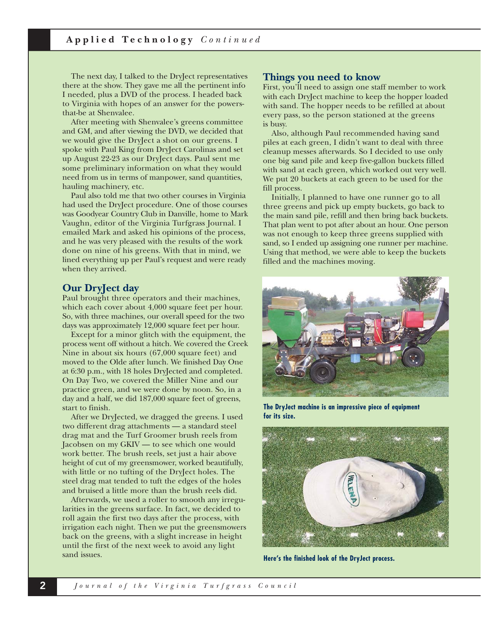The next day, I talked to the DryJect representatives there at the show. They gave me all the pertinent info I needed, plus a DVD of the process. I headed back to Virginia with hopes of an answer for the powersthat-be at Shenvalee.

After meeting with Shenvalee's greens committee and GM, and after viewing the DVD, we decided that we would give the DryJect a shot on our greens. I spoke with Paul King from DryJect Carolinas and set up August 22-23 as our DryJect days. Paul sent me some preliminary information on what they would need from us in terms of manpower, sand quantities, hauling machinery, etc.

Paul also told me that two other courses in Virginia had used the DryJect procedure. One of those courses was Goodyear Country Club in Danville, home to Mark Vaughn, editor of the Virginia Turfgrass Journal. I emailed Mark and asked his opinions of the process, and he was very pleased with the results of the work done on nine of his greens. With that in mind, we lined everything up per Paul's request and were ready when they arrived.

#### **Our DryJect day**

Paul brought three operators and their machines, which each cover about 4,000 square feet per hour. So, with three machines, our overall speed for the two days was approximately 12,000 square feet per hour.

Except for a minor glitch with the equipment, the process went off without a hitch. We covered the Creek Nine in about six hours (67,000 square feet) and moved to the Olde after lunch. We finished Day One at 6:30 p.m., with 18 holes DryJected and completed. On Day Two, we covered the Miller Nine and our practice green, and we were done by noon. So, in a day and a half, we did 187,000 square feet of greens, start to finish.

After we DryJected, we dragged the greens. I used two different drag attachments — a standard steel drag mat and the Turf Groomer brush reels from Jacobsen on my GKIV — to see which one would work better. The brush reels, set just a hair above height of cut of my greensmower, worked beautifully, with little or no tufting of the DryJect holes. The steel drag mat tended to tuft the edges of the holes and bruised a little more than the brush reels did.

Afterwards, we used a roller to smooth any irregularities in the greens surface. In fact, we decided to roll again the first two days after the process, with irrigation each night. Then we put the greensmowers back on the greens, with a slight increase in height until the first of the next week to avoid any light sand issues.

#### **Things you need to know**

First, you'll need to assign one staff member to work with each DryJect machine to keep the hopper loaded with sand. The hopper needs to be refilled at about every pass, so the person stationed at the greens is busy.

Also, although Paul recommended having sand piles at each green, I didn't want to deal with three cleanup messes afterwards. So I decided to use only one big sand pile and keep five-gallon buckets filled with sand at each green, which worked out very well. We put 20 buckets at each green to be used for the fill process.

Initially, I planned to have one runner go to all three greens and pick up empty buckets, go back to the main sand pile, refill and then bring back buckets. That plan went to pot after about an hour. One person was not enough to keep three greens supplied with sand, so I ended up assigning one runner per machine. Using that method, we were able to keep the buckets filled and the machines moving.



**The DryJect machine is an impressive piece of equipment for its size.**



**Here's the finished look of the DryJect process.**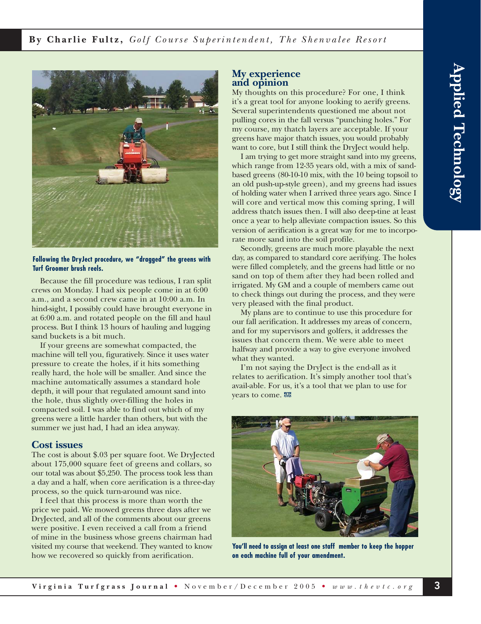**By Charlie Fultz,** *Golf Course Superintendent, The Shenvalee Resort*



#### **Following the DryJect procedure, we "dragged" the greens with Turf Groomer brush reels.**

Because the fill procedure was tedious, I ran split crews on Monday. I had six people come in at 6:00 a.m., and a second crew came in at 10:00 a.m. In hind-sight, I possibly could have brought everyone in at 6:00 a.m. and rotated people on the fill and haul process. But I think 13 hours of hauling and lugging sand buckets is a bit much.

If your greens are somewhat compacted, the machine will tell you, figuratively. Since it uses water pressure to create the holes, if it hits something really hard, the hole will be smaller. And since the machine automatically assumes a standard hole depth, it will pour that regulated amount sand into the hole, thus slightly over-filling the holes in compacted soil. I was able to find out which of my greens were a little harder than others, but with the summer we just had, I had an idea anyway.

#### **Cost issues**

The cost is about \$.03 per square foot. We DryJected about 175,000 square feet of greens and collars, so our total was about \$5,250. The process took less than a day and a half, when core aerification is a three-day process, so the quick turn-around was nice.

I feel that this process is more than worth the price we paid. We mowed greens three days after we DryJected, and all of the comments about our greens were positive. I even received a call from a friend of mine in the business whose greens chairman had visited my course that weekend. They wanted to know how we recovered so quickly from aerification.

### **My experience and opinion**

My thoughts on this procedure? For one, I think it's a great tool for anyone looking to aerify greens. Several superintendents questioned me about not pulling cores in the fall versus "punching holes." For my course, my thatch layers are acceptable. If your greens have major thatch issues, you would probably want to core, but I still think the DryJect would help.

I am trying to get more straight sand into my greens, which range from 12-35 years old, with a mix of sandbased greens (80-10-10 mix, with the 10 being topsoil to an old push-up-style green), and my greens had issues of holding water when I arrived three years ago. Since I will core and vertical mow this coming spring, I will address thatch issues then. I will also deep-tine at least once a year to help alleviate compaction issues. So this version of aerification is a great way for me to incorporate more sand into the soil profile.

Secondly, greens are much more playable the next day, as compared to standard core aerifying. The holes were filled completely, and the greens had little or no sand on top of them after they had been rolled and irrigated. My GM and a couple of members came out to check things out during the process, and they were very pleased with the final product.

My plans are to continue to use this procedure for our fall aerification. It addresses my areas of concern, and for my supervisors and golfers, it addresses the issues that concern them. We were able to meet halfway and provide a way to give everyone involved what they wanted.

I'm not saying the DryJect is the end-all as it relates to aerification. It's simply another tool that's avail-able. For us, it's a tool that we plan to use for years to come.



**You'll need to assign at least one staff member to keep the hopper on each machine full of your amendment.**